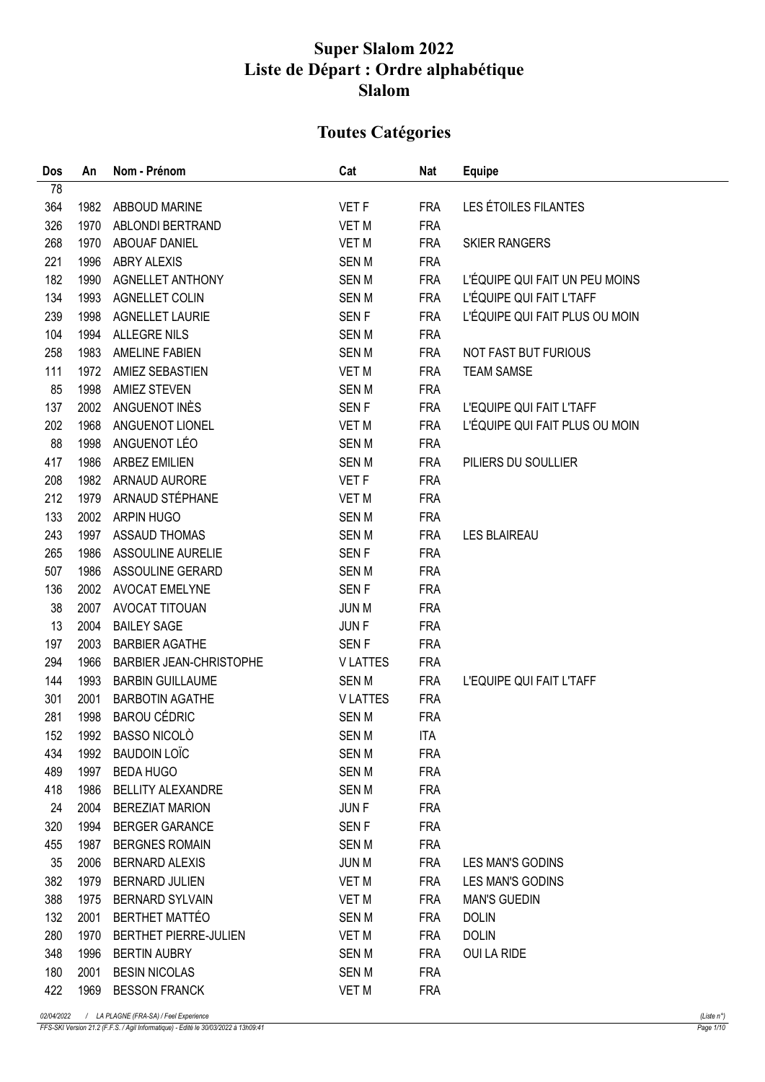## Super Slalom 2022 Liste de Départ : Ordre alphabétique Slalom

## Toutes Catégories

| Dos | An   | Nom - Prénom                   | Cat              | Nat        | <b>Equipe</b>                  |
|-----|------|--------------------------------|------------------|------------|--------------------------------|
| 78  |      |                                |                  |            |                                |
| 364 | 1982 | ABBOUD MARINE                  | VET F            | <b>FRA</b> | LES ÉTOILES FILANTES           |
| 326 | 1970 | ABLONDI BERTRAND               | <b>VET M</b>     | <b>FRA</b> |                                |
| 268 | 1970 | ABOUAF DANIEL                  | VET M            | <b>FRA</b> | <b>SKIER RANGERS</b>           |
| 221 | 1996 | ABRY ALEXIS                    | <b>SENM</b>      | <b>FRA</b> |                                |
| 182 | 1990 | <b>AGNELLET ANTHONY</b>        | <b>SENM</b>      | <b>FRA</b> | L'ÉQUIPE QUI FAIT UN PEU MOINS |
| 134 | 1993 | AGNELLET COLIN                 | <b>SENM</b>      | <b>FRA</b> | L'ÉQUIPE QUI FAIT L'TAFF       |
| 239 | 1998 | <b>AGNELLET LAURIE</b>         | <b>SENF</b>      | <b>FRA</b> | L'ÉQUIPE QUI FAIT PLUS OU MOIN |
| 104 | 1994 | ALLEGRE NILS                   | <b>SENM</b>      | <b>FRA</b> |                                |
| 258 | 1983 | AMELINE FABIEN                 | <b>SENM</b>      | <b>FRA</b> | NOT FAST BUT FURIOUS           |
| 111 | 1972 | AMIEZ SEBASTIEN                | <b>VET M</b>     | <b>FRA</b> | <b>TEAM SAMSE</b>              |
| 85  | 1998 | <b>AMIEZ STEVEN</b>            | <b>SENM</b>      | <b>FRA</b> |                                |
| 137 | 2002 | ANGUENOT INÈS                  | SEN <sub>F</sub> | <b>FRA</b> | L'EQUIPE QUI FAIT L'TAFF       |
| 202 | 1968 | ANGUENOT LIONEL                | <b>VET M</b>     | <b>FRA</b> | L'ÉQUIPE QUI FAIT PLUS OU MOIN |
| 88  | 1998 | ANGUENOT LÉO                   | <b>SENM</b>      | <b>FRA</b> |                                |
| 417 | 1986 | <b>ARBEZ EMILIEN</b>           | <b>SENM</b>      | <b>FRA</b> | PILIERS DU SOULLIER            |
| 208 | 1982 | ARNAUD AURORE                  | <b>VET F</b>     | <b>FRA</b> |                                |
| 212 | 1979 | ARNAUD STÉPHANE                | <b>VET M</b>     | <b>FRA</b> |                                |
| 133 | 2002 | ARPIN HUGO                     | <b>SENM</b>      | <b>FRA</b> |                                |
| 243 | 1997 | <b>ASSAUD THOMAS</b>           | <b>SENM</b>      | <b>FRA</b> | <b>LES BLAIREAU</b>            |
| 265 | 1986 | ASSOULINE AURELIE              | <b>SENF</b>      | <b>FRA</b> |                                |
| 507 | 1986 | ASSOULINE GERARD               | <b>SENM</b>      | <b>FRA</b> |                                |
| 136 | 2002 | <b>AVOCAT EMELYNE</b>          | <b>SENF</b>      | <b>FRA</b> |                                |
| 38  | 2007 | AVOCAT TITOUAN                 | <b>JUN M</b>     | <b>FRA</b> |                                |
| 13  | 2004 | <b>BAILEY SAGE</b>             | <b>JUNF</b>      | <b>FRA</b> |                                |
| 197 | 2003 | <b>BARBIER AGATHE</b>          | <b>SENF</b>      | <b>FRA</b> |                                |
| 294 | 1966 | <b>BARBIER JEAN-CHRISTOPHE</b> | <b>VLATTES</b>   | <b>FRA</b> |                                |
| 144 | 1993 | <b>BARBIN GUILLAUME</b>        | SEN M            | <b>FRA</b> | L'EQUIPE QUI FAIT L'TAFF       |
| 301 | 2001 | <b>BARBOTIN AGATHE</b>         | <b>VLATTES</b>   | <b>FRA</b> |                                |
| 281 | 1998 | <b>BAROU CÉDRIC</b>            | <b>SENM</b>      | <b>FRA</b> |                                |
| 152 | 1992 | <b>BASSO NICOLO</b>            | SEN M            | <b>ITA</b> |                                |
| 434 | 1992 | <b>BAUDOIN LOÏC</b>            | <b>SENM</b>      | <b>FRA</b> |                                |
| 489 | 1997 | <b>BEDA HUGO</b>               | <b>SENM</b>      | <b>FRA</b> |                                |
| 418 | 1986 | <b>BELLITY ALEXANDRE</b>       | <b>SENM</b>      | <b>FRA</b> |                                |
| 24  | 2004 | <b>BEREZIAT MARION</b>         | <b>JUNF</b>      | <b>FRA</b> |                                |
| 320 | 1994 | <b>BERGER GARANCE</b>          | <b>SENF</b>      | <b>FRA</b> |                                |
| 455 | 1987 | <b>BERGNES ROMAIN</b>          | <b>SENM</b>      | <b>FRA</b> |                                |
| 35  | 2006 | <b>BERNARD ALEXIS</b>          | <b>JUN M</b>     | <b>FRA</b> | LES MAN'S GODINS               |
| 382 | 1979 | <b>BERNARD JULIEN</b>          | VET M            | <b>FRA</b> | <b>LES MAN'S GODINS</b>        |
| 388 | 1975 | <b>BERNARD SYLVAIN</b>         | VET M            | <b>FRA</b> | <b>MAN'S GUEDIN</b>            |
| 132 | 2001 | <b>BERTHET MATTÉO</b>          | <b>SENM</b>      | <b>FRA</b> | <b>DOLIN</b>                   |
| 280 | 1970 | BERTHET PIERRE-JULIEN          | VET M            | <b>FRA</b> | <b>DOLIN</b>                   |
| 348 | 1996 | <b>BERTIN AUBRY</b>            | <b>SENM</b>      | <b>FRA</b> | OUI LA RIDE                    |
| 180 | 2001 | <b>BESIN NICOLAS</b>           | <b>SENM</b>      | <b>FRA</b> |                                |
| 422 | 1969 | <b>BESSON FRANCK</b>           | <b>VET M</b>     | <b>FRA</b> |                                |
|     |      |                                |                  |            |                                |

02/04/2022 / LA PLAGNE (FRA-SA) / Feel Experience (Liste n°)

FFS-SKI Version 21.2 (F.F.S. / Agil Informatique) - Edité le 30/03/2022 à 13h09:41 Page 1/10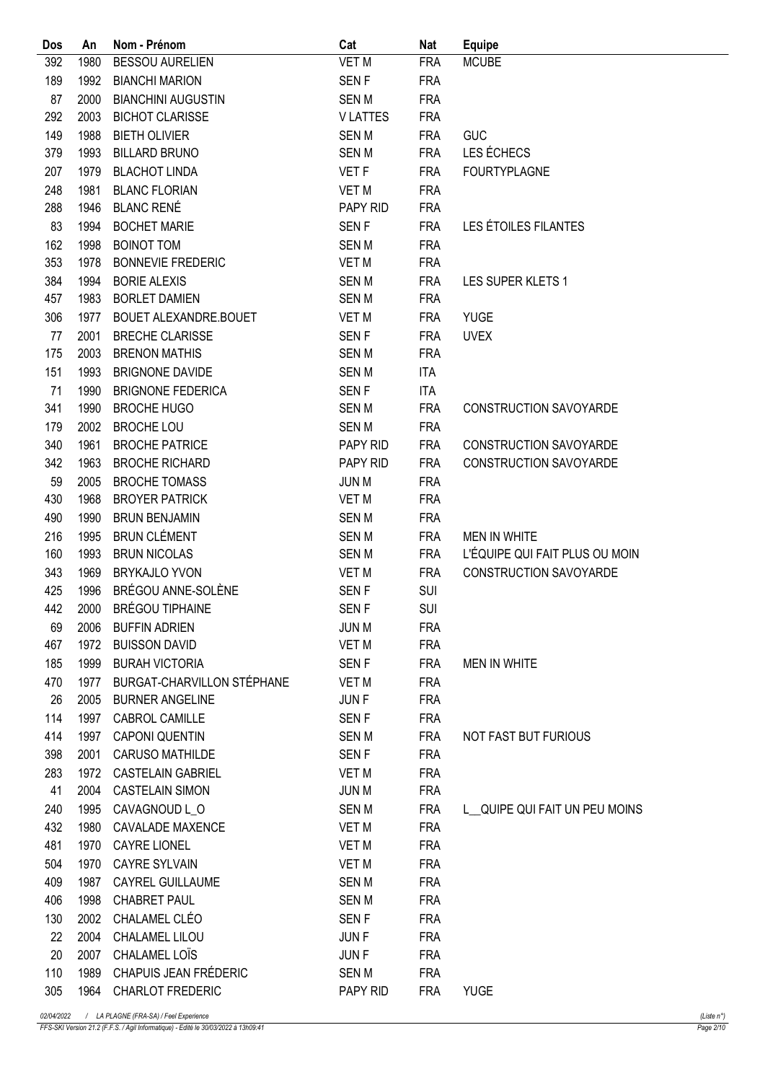| Dos | An           | Nom - Prénom                             | Cat              | Nat        | <b>Equipe</b>                  |
|-----|--------------|------------------------------------------|------------------|------------|--------------------------------|
| 392 | 1980         | <b>BESSOU AURELIEN</b>                   | <b>VET M</b>     | <b>FRA</b> | <b>MCUBE</b>                   |
| 189 | 1992         | <b>BIANCHI MARION</b>                    | SEN <sub>F</sub> | <b>FRA</b> |                                |
| 87  | 2000         | <b>BIANCHINI AUGUSTIN</b>                | <b>SENM</b>      | <b>FRA</b> |                                |
| 292 | 2003         | <b>BICHOT CLARISSE</b>                   | <b>VLATTES</b>   | <b>FRA</b> |                                |
| 149 | 1988         | <b>BIETH OLIVIER</b>                     | <b>SENM</b>      | <b>FRA</b> | <b>GUC</b>                     |
| 379 | 1993         | <b>BILLARD BRUNO</b>                     | <b>SENM</b>      | <b>FRA</b> | LES ÉCHECS                     |
| 207 | 1979         | <b>BLACHOT LINDA</b>                     | VET F            | <b>FRA</b> | <b>FOURTYPLAGNE</b>            |
| 248 | 1981         | <b>BLANC FLORIAN</b>                     | <b>VET M</b>     | <b>FRA</b> |                                |
| 288 | 1946         | <b>BLANC RENÉ</b>                        | PAPY RID         | <b>FRA</b> |                                |
| 83  | 1994         | <b>BOCHET MARIE</b>                      | <b>SENF</b>      | <b>FRA</b> | LES ÉTOILES FILANTES           |
| 162 | 1998         | <b>BOINOT TOM</b>                        | <b>SENM</b>      | <b>FRA</b> |                                |
| 353 | 1978         | <b>BONNEVIE FREDERIC</b>                 | <b>VET M</b>     | <b>FRA</b> |                                |
| 384 | 1994         | <b>BORIE ALEXIS</b>                      | <b>SENM</b>      | <b>FRA</b> | LES SUPER KLETS 1              |
| 457 | 1983         | <b>BORLET DAMIEN</b>                     | <b>SENM</b>      | <b>FRA</b> |                                |
| 306 | 1977         | BOUET ALEXANDRE.BOUET                    | <b>VET M</b>     | <b>FRA</b> | <b>YUGE</b>                    |
| 77  | 2001         | <b>BRECHE CLARISSE</b>                   | SEN <sub>F</sub> | <b>FRA</b> | <b>UVEX</b>                    |
| 175 | 2003         | <b>BRENON MATHIS</b>                     | <b>SENM</b>      | <b>FRA</b> |                                |
| 151 | 1993         | <b>BRIGNONE DAVIDE</b>                   | <b>SENM</b>      | <b>ITA</b> |                                |
| 71  | 1990         | <b>BRIGNONE FEDERICA</b>                 | SEN <sub>F</sub> | <b>ITA</b> |                                |
| 341 | 1990         | <b>BROCHE HUGO</b>                       | <b>SENM</b>      | <b>FRA</b> | CONSTRUCTION SAVOYARDE         |
| 179 | 2002         | <b>BROCHE LOU</b>                        | <b>SENM</b>      | <b>FRA</b> |                                |
| 340 | 1961         | <b>BROCHE PATRICE</b>                    | PAPY RID         | <b>FRA</b> | <b>CONSTRUCTION SAVOYARDE</b>  |
| 342 | 1963         | <b>BROCHE RICHARD</b>                    | PAPY RID         | <b>FRA</b> | <b>CONSTRUCTION SAVOYARDE</b>  |
| 59  | 2005         | <b>BROCHE TOMASS</b>                     | <b>JUN M</b>     | <b>FRA</b> |                                |
| 430 | 1968         | <b>BROYER PATRICK</b>                    | <b>VET M</b>     | <b>FRA</b> |                                |
| 490 | 1990         | <b>BRUN BENJAMIN</b>                     | <b>SENM</b>      | <b>FRA</b> |                                |
| 216 | 1995         | <b>BRUN CLÉMENT</b>                      | <b>SENM</b>      | <b>FRA</b> | <b>MEN IN WHITE</b>            |
| 160 | 1993         | <b>BRUN NICOLAS</b>                      | <b>SENM</b>      | <b>FRA</b> | L'ÉQUIPE QUI FAIT PLUS OU MOIN |
| 343 | 1969         | <b>BRYKAJLO YVON</b>                     | <b>VET M</b>     | <b>FRA</b> | <b>CONSTRUCTION SAVOYARDE</b>  |
| 425 | 1996         | BRÉGOU ANNE-SOLÈNE                       | <b>SENF</b>      | SUI        |                                |
| 442 | 2000         | <b>BRÉGOU TIPHAINE</b>                   | <b>SENF</b>      | <b>SUI</b> |                                |
| 69  |              | 2006 BUFFIN ADRIEN                       | <b>JUN M</b>     | <b>FRA</b> |                                |
| 467 | 1972         | <b>BUISSON DAVID</b>                     | VET M            | <b>FRA</b> |                                |
| 185 | 1999         | <b>BURAH VICTORIA</b>                    | <b>SENF</b>      | <b>FRA</b> | <b>MEN IN WHITE</b>            |
| 470 | 1977         | BURGAT-CHARVILLON STÉPHANE               | <b>VET M</b>     | <b>FRA</b> |                                |
| 26  | 2005         | <b>BURNER ANGELINE</b>                   | JUN F            | <b>FRA</b> |                                |
| 114 | 1997         | CABROL CAMILLE                           | <b>SENF</b>      | <b>FRA</b> |                                |
| 414 | 1997         | <b>CAPONI QUENTIN</b>                    | SEN M            | <b>FRA</b> | NOT FAST BUT FURIOUS           |
| 398 | 2001         | CARUSO MATHILDE                          | <b>SENF</b>      | <b>FRA</b> |                                |
|     |              |                                          |                  |            |                                |
| 283 | 1972<br>2004 | <b>CASTELAIN GABRIEL</b>                 | <b>VET M</b>     | <b>FRA</b> |                                |
| 41  |              | <b>CASTELAIN SIMON</b>                   | <b>JUN M</b>     | <b>FRA</b> |                                |
| 240 | 1995         | CAVAGNOUD L_O<br><b>CAVALADE MAXENCE</b> | <b>SENM</b>      | <b>FRA</b> | L QUIPE QUI FAIT UN PEU MOINS  |
| 432 | 1980         |                                          | VET M            | <b>FRA</b> |                                |
| 481 | 1970         | <b>CAYRE LIONEL</b>                      | VET M            | <b>FRA</b> |                                |
| 504 | 1970         | <b>CAYRE SYLVAIN</b>                     | <b>VET M</b>     | <b>FRA</b> |                                |
| 409 | 1987         | CAYREL GUILLAUME                         | <b>SENM</b>      | <b>FRA</b> |                                |
| 406 | 1998         | <b>CHABRET PAUL</b>                      | <b>SEN M</b>     | <b>FRA</b> |                                |
| 130 | 2002         | CHALAMEL CLÉO                            | <b>SENF</b>      | <b>FRA</b> |                                |
| 22  | 2004         | CHALAMEL LILOU                           | JUN F            | <b>FRA</b> |                                |
| 20  | 2007         | CHALAMEL LOIS                            | JUN F            | <b>FRA</b> |                                |
| 110 | 1989         | CHAPUIS JEAN FRÉDERIC                    | <b>SENM</b>      | <b>FRA</b> |                                |
| 305 |              | 1964 CHARLOT FREDERIC                    | PAPY RID         | <b>FRA</b> | <b>YUGE</b>                    |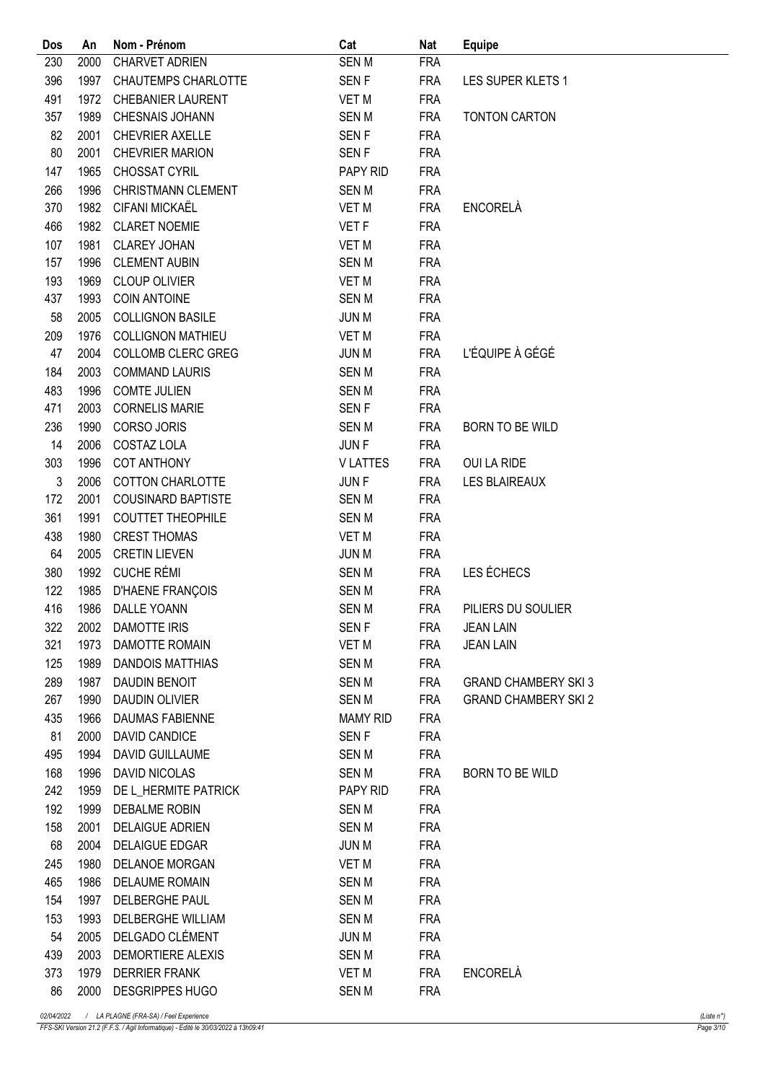| Dos        | An   | Nom - Prénom              | Cat              | <b>Nat</b> | <b>Equipe</b>               |
|------------|------|---------------------------|------------------|------------|-----------------------------|
| 230        | 2000 | <b>CHARVET ADRIEN</b>     | <b>SENM</b>      | <b>FRA</b> |                             |
| 396        | 1997 | CHAUTEMPS CHARLOTTE       | SEN <sub>F</sub> | <b>FRA</b> | LES SUPER KLETS 1           |
| 491        | 1972 | <b>CHEBANIER LAURENT</b>  | <b>VET M</b>     | <b>FRA</b> |                             |
| 357        | 1989 | CHESNAIS JOHANN           | <b>SENM</b>      | <b>FRA</b> | TONTON CARTON               |
| 82         | 2001 | <b>CHEVRIER AXELLE</b>    | <b>SENF</b>      | <b>FRA</b> |                             |
| 80         | 2001 | <b>CHEVRIER MARION</b>    | SEN <sub>F</sub> | <b>FRA</b> |                             |
| 147        | 1965 | CHOSSAT CYRIL             | PAPY RID         | <b>FRA</b> |                             |
| 266        | 1996 | <b>CHRISTMANN CLEMENT</b> | <b>SENM</b>      | <b>FRA</b> |                             |
| 370        | 1982 | CIFANI MICKAËL            | <b>VET M</b>     | <b>FRA</b> | <b>ENCORELÀ</b>             |
| 466        | 1982 | <b>CLARET NOEMIE</b>      | VET F            | <b>FRA</b> |                             |
| 107        | 1981 | <b>CLAREY JOHAN</b>       | <b>VET M</b>     | <b>FRA</b> |                             |
| 157        | 1996 | <b>CLEMENT AUBIN</b>      | <b>SENM</b>      | <b>FRA</b> |                             |
| 193        | 1969 | <b>CLOUP OLIVIER</b>      | <b>VET M</b>     | <b>FRA</b> |                             |
| 437        | 1993 | <b>COIN ANTOINE</b>       | <b>SENM</b>      | <b>FRA</b> |                             |
| 58         | 2005 | <b>COLLIGNON BASILE</b>   | <b>JUN M</b>     | <b>FRA</b> |                             |
| 209        | 1976 | <b>COLLIGNON MATHIEU</b>  | <b>VET M</b>     | <b>FRA</b> |                             |
| 47         | 2004 | COLLOMB CLERC GREG        | <b>JUN M</b>     | <b>FRA</b> | L'ÉQUIPE À GÉGÉ             |
| 184        | 2003 | <b>COMMAND LAURIS</b>     | <b>SENM</b>      | <b>FRA</b> |                             |
| 483        | 1996 | <b>COMTE JULIEN</b>       | <b>SENM</b>      | <b>FRA</b> |                             |
| 471        | 2003 | <b>CORNELIS MARIE</b>     | <b>SENF</b>      | <b>FRA</b> |                             |
| 236        | 1990 | <b>CORSO JORIS</b>        | <b>SENM</b>      | <b>FRA</b> | <b>BORN TO BE WILD</b>      |
| 14         | 2006 | COSTAZ LOLA               | <b>JUNF</b>      | <b>FRA</b> |                             |
| 303        | 1996 | <b>COT ANTHONY</b>        | <b>VLATTES</b>   | <b>FRA</b> | <b>OUI LA RIDE</b>          |
| $\sqrt{3}$ | 2006 | <b>COTTON CHARLOTTE</b>   | JUN F            | <b>FRA</b> | <b>LES BLAIREAUX</b>        |
| 172        | 2001 | <b>COUSINARD BAPTISTE</b> | <b>SENM</b>      | <b>FRA</b> |                             |
| 361        | 1991 | <b>COUTTET THEOPHILE</b>  | <b>SEN M</b>     | <b>FRA</b> |                             |
| 438        | 1980 | <b>CREST THOMAS</b>       | <b>VET M</b>     | <b>FRA</b> |                             |
| 64         | 2005 | <b>CRETIN LIEVEN</b>      | <b>JUN M</b>     | <b>FRA</b> |                             |
| 380        | 1992 | <b>CUCHE RÉMI</b>         | <b>SENM</b>      | <b>FRA</b> | LES ÉCHECS                  |
| 122        | 1985 | <b>D'HAENE FRANÇOIS</b>   | <b>SENM</b>      | <b>FRA</b> |                             |
| 416        |      | 1986 DALLE YOANN          | <b>SENM</b>      | <b>FRA</b> | PILIERS DU SOULIER          |
| 322        |      | 2002 DAMOTTE IRIS         | SEN F            | FRA        | <b>JEAN LAIN</b>            |
| 321        | 1973 | DAMOTTE ROMAIN            | VET M            | <b>FRA</b> | <b>JEAN LAIN</b>            |
| 125        | 1989 | <b>DANDOIS MATTHIAS</b>   | SEN M            | <b>FRA</b> |                             |
| 289        | 1987 | DAUDIN BENOIT             | SEN M            | <b>FRA</b> | <b>GRAND CHAMBERY SKI 3</b> |
| 267        | 1990 | <b>DAUDIN OLIVIER</b>     | SEN M            | <b>FRA</b> | <b>GRAND CHAMBERY SKI 2</b> |
| 435        | 1966 | DAUMAS FABIENNE           | <b>MAMY RID</b>  | <b>FRA</b> |                             |
| 81         | 2000 | DAVID CANDICE             | SEN <sub>F</sub> | <b>FRA</b> |                             |
| 495        | 1994 | DAVID GUILLAUME           | SEN M            | <b>FRA</b> |                             |
| 168        | 1996 | <b>DAVID NICOLAS</b>      | SEN M            | <b>FRA</b> | BORN TO BE WILD             |
| 242        | 1959 | DE L_HERMITE PATRICK      | PAPY RID         | <b>FRA</b> |                             |
| 192        | 1999 | DEBALME ROBIN             | SEN M            | <b>FRA</b> |                             |
| 158        | 2001 | DELAIGUE ADRIEN           | SEN M            | <b>FRA</b> |                             |
| 68         | 2004 | DELAIGUE EDGAR            | JUN M            | <b>FRA</b> |                             |
| 245        | 1980 | DELANOE MORGAN            | <b>VET M</b>     | <b>FRA</b> |                             |
| 465        | 1986 | DELAUME ROMAIN            | SEN M            | <b>FRA</b> |                             |
| 154        | 1997 | DELBERGHE PAUL            | SEN M            | <b>FRA</b> |                             |
| 153        | 1993 | DELBERGHE WILLIAM         | SEN M            | <b>FRA</b> |                             |
| 54         | 2005 | DELGADO CLÉMENT           | <b>JUN M</b>     | <b>FRA</b> |                             |
| 439        | 2003 | DEMORTIERE ALEXIS         | SEN M            | <b>FRA</b> |                             |
| 373        | 1979 | <b>DERRIER FRANK</b>      | VET M            | <b>FRA</b> | <b>ENCORELÀ</b>             |
| 86         | 2000 | <b>DESGRIPPES HUGO</b>    | <b>SENM</b>      | <b>FRA</b> |                             |
|            |      |                           |                  |            |                             |

FFS-SKI Version 21.2 (F.F.S. / Agil Informatique) - Edité le 30/03/2022 à 13h09:41 Page 3/10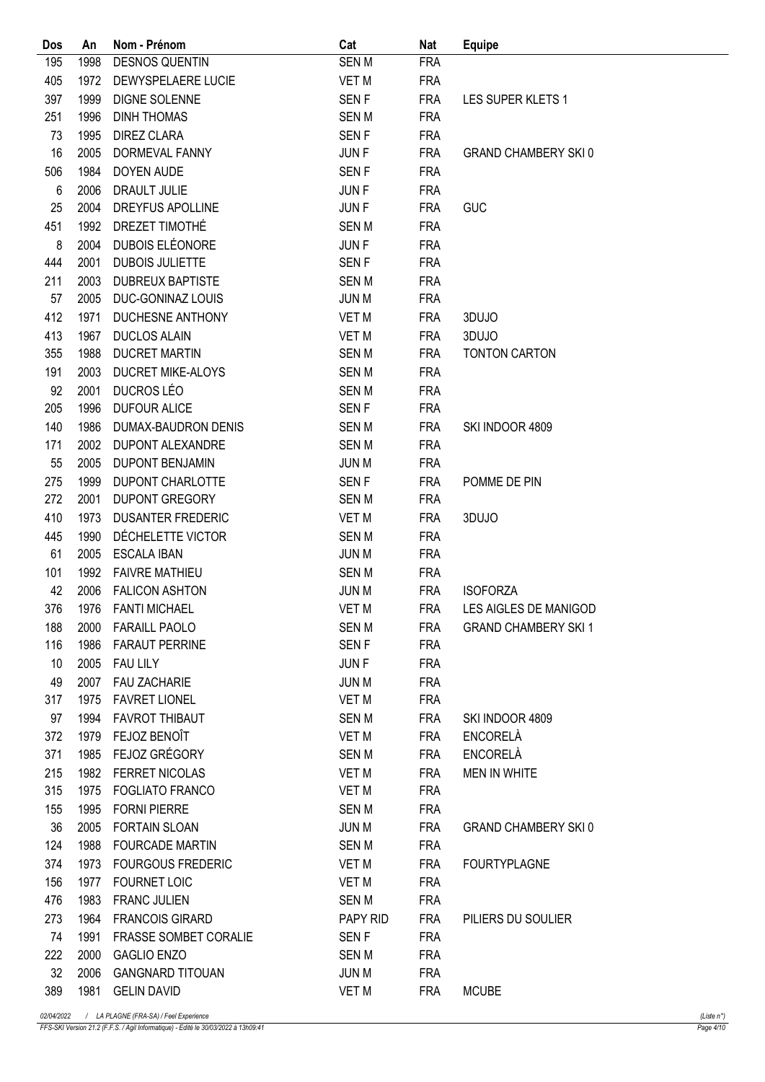| Dos | An   | Nom - Prénom                 | Cat              | Nat        | <b>Equipe</b>               |
|-----|------|------------------------------|------------------|------------|-----------------------------|
| 195 | 1998 | <b>DESNOS QUENTIN</b>        | <b>SENM</b>      | <b>FRA</b> |                             |
| 405 | 1972 | DEWYSPELAERE LUCIE           | VET M            | <b>FRA</b> |                             |
| 397 | 1999 | DIGNE SOLENNE                | <b>SENF</b>      | <b>FRA</b> | LES SUPER KLETS 1           |
| 251 | 1996 | <b>DINH THOMAS</b>           | <b>SENM</b>      | <b>FRA</b> |                             |
| 73  | 1995 | <b>DIREZ CLARA</b>           | <b>SENF</b>      | <b>FRA</b> |                             |
| 16  | 2005 | DORMEVAL FANNY               | <b>JUNF</b>      | <b>FRA</b> | <b>GRAND CHAMBERY SKI0</b>  |
| 506 | 1984 | DOYEN AUDE                   | <b>SENF</b>      | <b>FRA</b> |                             |
| 6   | 2006 | DRAULT JULIE                 | JUN F            | <b>FRA</b> |                             |
| 25  | 2004 | DREYFUS APOLLINE             | <b>JUNF</b>      | <b>FRA</b> | <b>GUC</b>                  |
| 451 | 1992 | DREZET TIMOTHÉ               | <b>SENM</b>      | <b>FRA</b> |                             |
| 8   | 2004 | DUBOIS ELÉONORE              | JUN F            | <b>FRA</b> |                             |
| 444 | 2001 | <b>DUBOIS JULIETTE</b>       | <b>SENF</b>      | <b>FRA</b> |                             |
| 211 | 2003 | <b>DUBREUX BAPTISTE</b>      | <b>SENM</b>      | <b>FRA</b> |                             |
| 57  | 2005 | DUC-GONINAZ LOUIS            | <b>JUN M</b>     | <b>FRA</b> |                             |
| 412 | 1971 | DUCHESNE ANTHONY             | VET M            | <b>FRA</b> | 3DUJO                       |
| 413 | 1967 | <b>DUCLOS ALAIN</b>          | VET M            | <b>FRA</b> | 3DUJO                       |
| 355 | 1988 | <b>DUCRET MARTIN</b>         | <b>SENM</b>      | <b>FRA</b> | <b>TONTON CARTON</b>        |
| 191 | 2003 | DUCRET MIKE-ALOYS            | <b>SENM</b>      | <b>FRA</b> |                             |
| 92  | 2001 | DUCROS LÉO                   | <b>SENM</b>      | <b>FRA</b> |                             |
| 205 | 1996 | <b>DUFOUR ALICE</b>          | <b>SENF</b>      | <b>FRA</b> |                             |
| 140 | 1986 | DUMAX-BAUDRON DENIS          | <b>SENM</b>      | <b>FRA</b> | SKI INDOOR 4809             |
| 171 | 2002 | DUPONT ALEXANDRE             | <b>SENM</b>      | <b>FRA</b> |                             |
| 55  | 2005 | <b>DUPONT BENJAMIN</b>       | <b>JUN M</b>     | <b>FRA</b> |                             |
| 275 | 1999 | <b>DUPONT CHARLOTTE</b>      | SEN <sub>F</sub> | <b>FRA</b> | POMME DE PIN                |
| 272 | 2001 | <b>DUPONT GREGORY</b>        | <b>SENM</b>      | <b>FRA</b> |                             |
| 410 | 1973 | <b>DUSANTER FREDERIC</b>     | <b>VET M</b>     | <b>FRA</b> | 3DUJO                       |
| 445 | 1990 | DÉCHELETTE VICTOR            | <b>SENM</b>      | <b>FRA</b> |                             |
| 61  | 2005 | <b>ESCALA IBAN</b>           | <b>JUN M</b>     | <b>FRA</b> |                             |
| 101 | 1992 | <b>FAIVRE MATHIEU</b>        | <b>SENM</b>      | <b>FRA</b> |                             |
| 42  | 2006 | <b>FALICON ASHTON</b>        | <b>JUN M</b>     | <b>FRA</b> | <b>ISOFORZA</b>             |
| 376 |      | 1976 FANTI MICHAEL           | VET M            | <b>FRA</b> | LES AIGLES DE MANIGOD       |
| 188 |      | 2000 FARAILL PAOLO           | SEN M            | FRA        | <b>GRAND CHAMBERY SKI 1</b> |
| 116 |      | 1986 FARAUT PERRINE          | SEN <sub>F</sub> | <b>FRA</b> |                             |
| 10  | 2005 | <b>FAU LILY</b>              | JUN F            | <b>FRA</b> |                             |
| 49  | 2007 | <b>FAU ZACHARIE</b>          | <b>JUN M</b>     | <b>FRA</b> |                             |
| 317 | 1975 | <b>FAVRET LIONEL</b>         | VET M            | <b>FRA</b> |                             |
| 97  | 1994 | <b>FAVROT THIBAUT</b>        | SEN M            | <b>FRA</b> | SKI INDOOR 4809             |
| 372 | 1979 | FEJOZ BENOÎT                 | VET M            | <b>FRA</b> | ENCORELÀ                    |
| 371 | 1985 | FEJOZ GRÉGORY                | SEN M            | <b>FRA</b> | ENCORELÀ                    |
| 215 | 1982 | <b>FERRET NICOLAS</b>        | VET M            | <b>FRA</b> | <b>MEN IN WHITE</b>         |
| 315 | 1975 | <b>FOGLIATO FRANCO</b>       | VET M            | <b>FRA</b> |                             |
| 155 | 1995 | <b>FORNI PIERRE</b>          | SEN M            | <b>FRA</b> |                             |
| 36  | 2005 | FORTAIN SLOAN                | JUN M            | FRA        | <b>GRAND CHAMBERY SKI0</b>  |
| 124 | 1988 | FOURCADE MARTIN              | SEN M            | <b>FRA</b> |                             |
| 374 | 1973 | <b>FOURGOUS FREDERIC</b>     | VET M            | <b>FRA</b> | <b>FOURTYPLAGNE</b>         |
| 156 | 1977 | <b>FOURNET LOIC</b>          | VET M            | <b>FRA</b> |                             |
| 476 | 1983 | <b>FRANC JULIEN</b>          | SEN M            | <b>FRA</b> |                             |
| 273 | 1964 | <b>FRANCOIS GIRARD</b>       | PAPY RID         | FRA        | PILIERS DU SOULIER          |
| 74  | 1991 | <b>FRASSE SOMBET CORALIE</b> | SEN F            | <b>FRA</b> |                             |
| 222 | 2000 | <b>GAGLIO ENZO</b>           | SEN M            | <b>FRA</b> |                             |
| 32  | 2006 | <b>GANGNARD TITOUAN</b>      | JUN M            | <b>FRA</b> |                             |
| 389 |      | 1981 GELIN DAVID             | VET M            | <b>FRA</b> | <b>MCUBE</b>                |
|     |      |                              |                  |            |                             |

FFS-SKI Version 21.2 (F.F.S. / Agil Informatique) - Edité le 30/03/2022 à 13h09:41 Page 4/10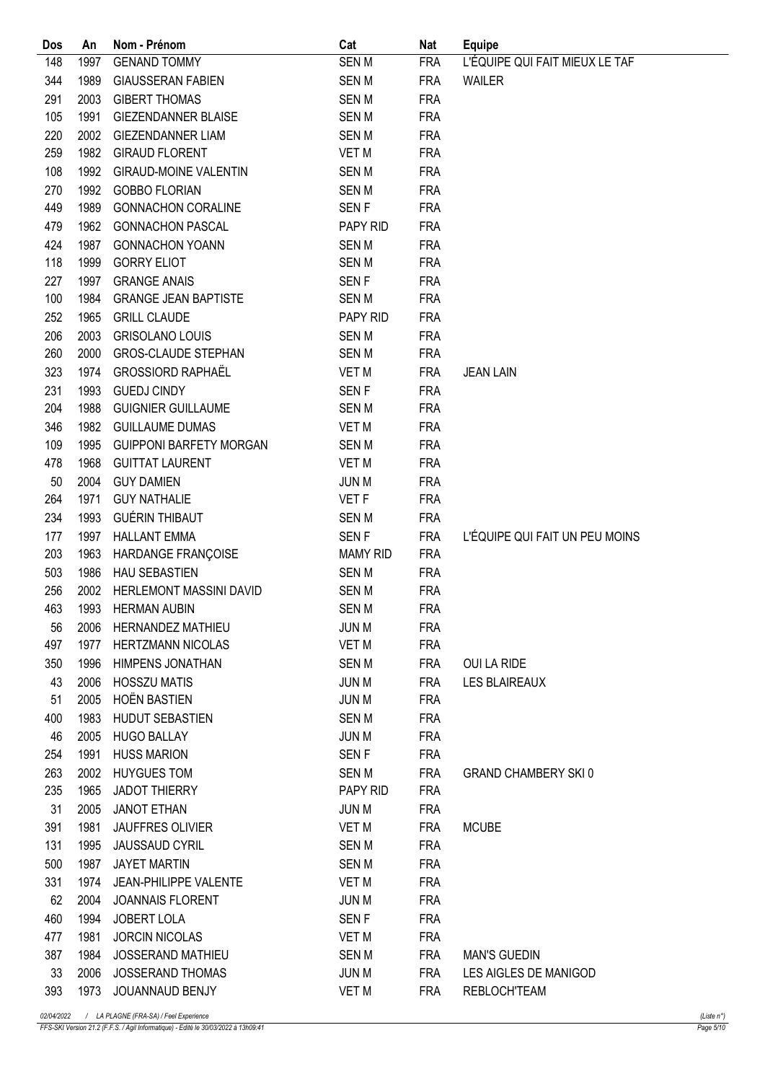| Dos | An           | Nom - Prénom                   | Cat                  | <b>Nat</b>               | <b>Equipe</b>                  |
|-----|--------------|--------------------------------|----------------------|--------------------------|--------------------------------|
| 148 | 1997         | <b>GENAND TOMMY</b>            | <b>SENM</b>          | <b>FRA</b>               | L'ÉQUIPE QUI FAIT MIEUX LE TAF |
| 344 | 1989         | <b>GIAUSSERAN FABIEN</b>       | <b>SENM</b>          | <b>FRA</b>               | <b>WAILER</b>                  |
| 291 | 2003         | <b>GIBERT THOMAS</b>           | <b>SENM</b>          | <b>FRA</b>               |                                |
| 105 | 1991         | <b>GIEZENDANNER BLAISE</b>     | <b>SENM</b>          | <b>FRA</b>               |                                |
| 220 | 2002         | <b>GIEZENDANNER LIAM</b>       | <b>SENM</b>          | <b>FRA</b>               |                                |
| 259 | 1982         | <b>GIRAUD FLORENT</b>          | <b>VET M</b>         | <b>FRA</b>               |                                |
| 108 | 1992         | <b>GIRAUD-MOINE VALENTIN</b>   | <b>SENM</b>          | <b>FRA</b>               |                                |
| 270 | 1992         | <b>GOBBO FLORIAN</b>           | <b>SENM</b>          | <b>FRA</b>               |                                |
| 449 | 1989         | <b>GONNACHON CORALINE</b>      | <b>SENF</b>          | <b>FRA</b>               |                                |
| 479 | 1962         | <b>GONNACHON PASCAL</b>        | PAPY RID             | <b>FRA</b>               |                                |
| 424 | 1987         | <b>GONNACHON YOANN</b>         | <b>SENM</b>          | <b>FRA</b>               |                                |
| 118 | 1999         | <b>GORRY ELIOT</b>             | <b>SENM</b>          | <b>FRA</b>               |                                |
| 227 | 1997         | <b>GRANGE ANAIS</b>            | <b>SENF</b>          | <b>FRA</b>               |                                |
| 100 | 1984         | <b>GRANGE JEAN BAPTISTE</b>    | <b>SENM</b>          | <b>FRA</b>               |                                |
| 252 | 1965         | <b>GRILL CLAUDE</b>            | PAPY RID             | <b>FRA</b>               |                                |
| 206 | 2003         | <b>GRISOLANO LOUIS</b>         | <b>SENM</b>          | <b>FRA</b>               |                                |
| 260 | 2000         | <b>GROS-CLAUDE STEPHAN</b>     | <b>SENM</b>          | <b>FRA</b>               |                                |
| 323 | 1974         | <b>GROSSIORD RAPHAËL</b>       | <b>VET M</b>         | <b>FRA</b>               | <b>JEAN LAIN</b>               |
| 231 | 1993         | <b>GUEDJ CINDY</b>             | <b>SENF</b>          | <b>FRA</b>               |                                |
| 204 | 1988         | <b>GUIGNIER GUILLAUME</b>      | <b>SENM</b>          | <b>FRA</b>               |                                |
| 346 | 1982         | <b>GUILLAUME DUMAS</b>         | VET M                | <b>FRA</b>               |                                |
| 109 | 1995         | <b>GUIPPONI BARFETY MORGAN</b> | <b>SENM</b>          | <b>FRA</b>               |                                |
| 478 | 1968         | <b>GUITTAT LAURENT</b>         | <b>VET M</b>         | <b>FRA</b>               |                                |
| 50  | 2004         | <b>GUY DAMIEN</b>              | <b>JUN M</b>         | <b>FRA</b>               |                                |
| 264 | 1971         | <b>GUY NATHALIE</b>            | VET F                | <b>FRA</b>               |                                |
| 234 | 1993         | <b>GUÉRIN THIBAUT</b>          | <b>SENM</b>          | <b>FRA</b>               |                                |
| 177 | 1997         | <b>HALLANT EMMA</b>            | <b>SENF</b>          | <b>FRA</b>               | L'ÉQUIPE QUI FAIT UN PEU MOINS |
| 203 | 1963         | HARDANGE FRANÇOISE             | <b>MAMY RID</b>      | <b>FRA</b>               |                                |
| 503 | 1986         | <b>HAU SEBASTIEN</b>           | <b>SENM</b>          | <b>FRA</b>               |                                |
| 256 | 2002         | HERLEMONT MASSINI DAVID        | <b>SEN M</b>         | <b>FRA</b>               |                                |
| 463 | 1993         | <b>HERMAN AUBIN</b>            | <b>SENM</b>          | <b>FRA</b>               |                                |
| 56  |              | 2006 HERNANDEZ MATHIEU         | JUN M                | <b>FRA</b>               |                                |
| 497 | 1977         | <b>HERTZMANN NICOLAS</b>       | VET M                | <b>FRA</b>               |                                |
| 350 | 1996         | HIMPENS JONATHAN               | <b>SENM</b>          | <b>FRA</b>               | OUI LA RIDE                    |
| 43  | 2006         | <b>HOSSZU MATIS</b>            | <b>JUN M</b>         | <b>FRA</b>               | <b>LES BLAIREAUX</b>           |
| 51  | 2005         | <b>HOËN BASTIEN</b>            | <b>JUN M</b>         | <b>FRA</b>               |                                |
| 400 | 1983         | HUDUT SEBASTIEN                | <b>SENM</b>          | <b>FRA</b>               |                                |
| 46  | 2005         | <b>HUGO BALLAY</b>             | <b>JUN M</b>         | <b>FRA</b>               |                                |
| 254 | 1991         | <b>HUSS MARION</b>             | SEN <sub>F</sub>     | <b>FRA</b>               |                                |
| 263 | 2002         | <b>HUYGUES TOM</b>             | SEN M                | <b>FRA</b>               | <b>GRAND CHAMBERY SKI0</b>     |
| 235 | 1965         | <b>JADOT THIERRY</b>           | PAPY RID             | <b>FRA</b>               |                                |
| 31  | 2005         | <b>JANOT ETHAN</b>             | JUN M                | <b>FRA</b>               |                                |
| 391 | 1981         | <b>JAUFFRES OLIVIER</b>        | VET M                | <b>FRA</b>               | <b>MCUBE</b>                   |
| 131 | 1995         | <b>JAUSSAUD CYRIL</b>          | SEN M                | <b>FRA</b>               |                                |
| 500 |              | <b>JAYET MARTIN</b>            |                      |                          |                                |
| 331 | 1987<br>1974 | <b>JEAN-PHILIPPE VALENTE</b>   | <b>SENM</b><br>VET M | <b>FRA</b><br><b>FRA</b> |                                |
|     |              |                                |                      |                          |                                |
| 62  | 2004         | <b>JOANNAIS FLORENT</b>        | <b>JUN M</b>         | <b>FRA</b>               |                                |
| 460 | 1994         | JOBERT LOLA                    | SEN <sub>F</sub>     | <b>FRA</b>               |                                |
| 477 | 1981         | <b>JORCIN NICOLAS</b>          | VET M                | <b>FRA</b>               |                                |
| 387 | 1984         | JOSSERAND MATHIEU              | <b>SENM</b>          | <b>FRA</b>               | <b>MAN'S GUEDIN</b>            |
| 33  | 2006         | <b>JOSSERAND THOMAS</b>        | JUN M                | <b>FRA</b>               | LES AIGLES DE MANIGOD          |
| 393 |              | 1973 JOUANNAUD BENJY           | VET M                | <b>FRA</b>               | <b>REBLOCH'TEAM</b>            |

FFS-SKI Version 21.2 (F.F.S. / Agil Informatique) - Edité le 30/03/2022 à 13h09:41 Page 5/10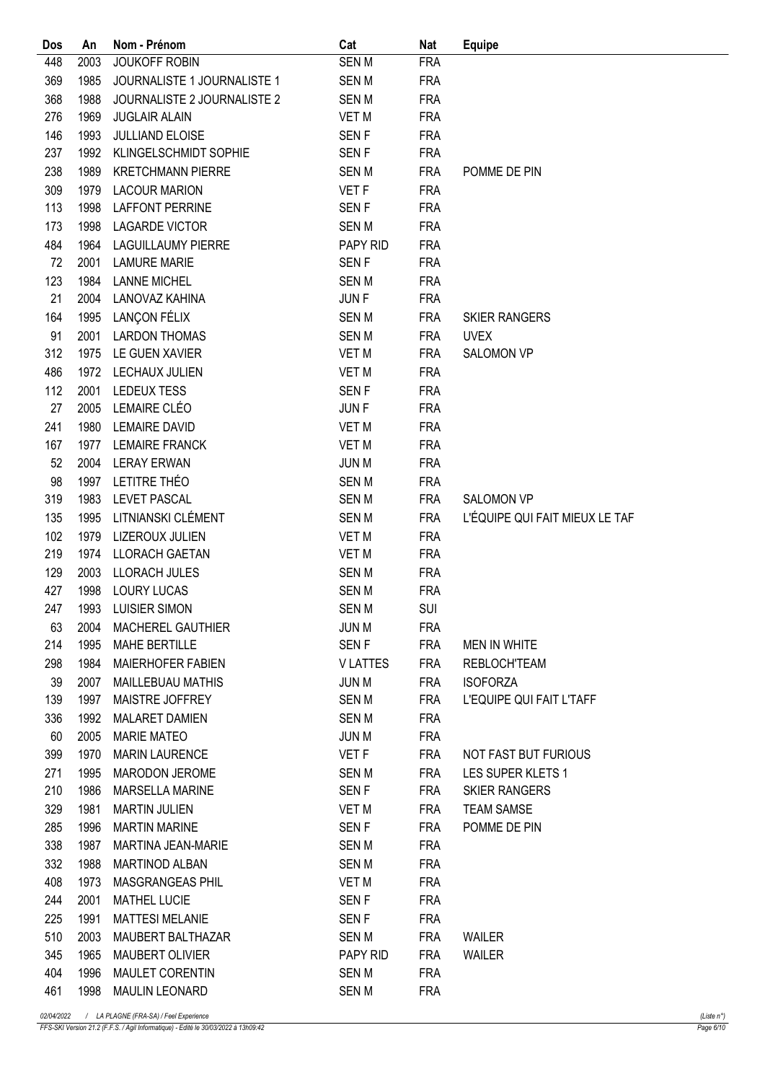| Dos        | An           | Nom - Prénom                               | Cat              | Nat        | <b>Equipe</b>                  |
|------------|--------------|--------------------------------------------|------------------|------------|--------------------------------|
| 448        | 2003         | <b>JOUKOFF ROBIN</b>                       | <b>SENM</b>      | <b>FRA</b> |                                |
| 369        | 1985         | JOURNALISTE 1 JOURNALISTE 1                | <b>SENM</b>      | <b>FRA</b> |                                |
| 368        | 1988         | JOURNALISTE 2 JOURNALISTE 2                | <b>SENM</b>      | <b>FRA</b> |                                |
| 276        | 1969         | <b>JUGLAIR ALAIN</b>                       | <b>VET M</b>     | <b>FRA</b> |                                |
| 146        | 1993         | JULLIAND ELOISE                            | SEN <sub>F</sub> | <b>FRA</b> |                                |
| 237        | 1992         | KLINGELSCHMIDT SOPHIE                      | <b>SENF</b>      | <b>FRA</b> |                                |
| 238        | 1989         | <b>KRETCHMANN PIERRE</b>                   | <b>SENM</b>      | <b>FRA</b> | POMME DE PIN                   |
| 309        | 1979         | <b>LACOUR MARION</b>                       | VET F            | <b>FRA</b> |                                |
| 113        | 1998         | <b>LAFFONT PERRINE</b>                     | SEN <sub>F</sub> | <b>FRA</b> |                                |
| 173        | 1998         | <b>LAGARDE VICTOR</b>                      | <b>SENM</b>      | <b>FRA</b> |                                |
| 484        | 1964         | <b>LAGUILLAUMY PIERRE</b>                  | PAPY RID         | <b>FRA</b> |                                |
| 72         | 2001         | <b>LAMURE MARIE</b>                        | <b>SENF</b>      | <b>FRA</b> |                                |
| 123        | 1984         | <b>LANNE MICHEL</b>                        | <b>SENM</b>      | <b>FRA</b> |                                |
| 21         | 2004         | LANOVAZ KAHINA                             | <b>JUNF</b>      | <b>FRA</b> |                                |
| 164        | 1995         | LANÇON FÉLIX                               | <b>SENM</b>      | <b>FRA</b> | <b>SKIER RANGERS</b>           |
| 91         | 2001         | <b>LARDON THOMAS</b>                       | <b>SENM</b>      | <b>FRA</b> | <b>UVEX</b>                    |
| 312        | 1975         | LE GUEN XAVIER                             | <b>VET M</b>     | <b>FRA</b> | <b>SALOMON VP</b>              |
| 486        | 1972         | LECHAUX JULIEN                             | <b>VET M</b>     | <b>FRA</b> |                                |
| 112        | 2001         | LEDEUX TESS                                | SEN <sub>F</sub> | <b>FRA</b> |                                |
| 27         | 2005         | LEMAIRE CLÉO                               | <b>JUNF</b>      | <b>FRA</b> |                                |
| 241        | 1980         | <b>LEMAIRE DAVID</b>                       | <b>VET M</b>     | <b>FRA</b> |                                |
| 167        | 1977         | <b>LEMAIRE FRANCK</b>                      | <b>VET M</b>     | <b>FRA</b> |                                |
| 52         | 2004         | <b>LERAY ERWAN</b>                         | <b>JUN M</b>     | <b>FRA</b> |                                |
| 98         | 1997         | LETITRE THÉO                               | <b>SENM</b>      | <b>FRA</b> |                                |
| 319        | 1983         | <b>LEVET PASCAL</b>                        | <b>SENM</b>      | <b>FRA</b> | <b>SALOMON VP</b>              |
| 135        | 1995         | LITNIANSKI CLÉMENT                         | <b>SENM</b>      | <b>FRA</b> | L'ÉQUIPE QUI FAIT MIEUX LE TAF |
| 102        | 1979         | LIZEROUX JULIEN                            |                  | <b>FRA</b> |                                |
| 219        | 1974         | <b>LLORACH GAETAN</b>                      | <b>VET M</b>     |            |                                |
|            |              |                                            | <b>VET M</b>     | <b>FRA</b> |                                |
| 129<br>427 | 2003<br>1998 | <b>LLORACH JULES</b><br><b>LOURY LUCAS</b> | <b>SENM</b>      | <b>FRA</b> |                                |
|            |              |                                            | <b>SENM</b>      | <b>FRA</b> |                                |
| 247        | 1993         | <b>LUISIER SIMON</b>                       | <b>SENM</b>      | <b>SUI</b> |                                |
| 63         |              | 2004 MACHEREL GAUTHIER                     | JUN M            | <b>FRA</b> |                                |
| 214        | 1995         | MAHE BERTILLE                              | SEN F            | FRA        | MEN IN WHITE                   |
| 298        | 1984         | <b>MAIERHOFER FABIEN</b>                   | <b>VLATTES</b>   | <b>FRA</b> | <b>REBLOCH'TEAM</b>            |
| 39         | 2007         | <b>MAILLEBUAU MATHIS</b>                   | JUN M            | <b>FRA</b> | <b>ISOFORZA</b>                |
| 139        | 1997         | MAISTRE JOFFREY                            | SEN M            | <b>FRA</b> | L'EQUIPE QUI FAIT L'TAFF       |
| 336        | 1992         | <b>MALARET DAMIEN</b>                      | SEN M            | <b>FRA</b> |                                |
| 60         | 2005         | <b>MARIE MATEO</b>                         | JUN M            | <b>FRA</b> |                                |
| 399        | 1970         | <b>MARIN LAURENCE</b>                      | VET F            | <b>FRA</b> | <b>NOT FAST BUT FURIOUS</b>    |
| 271        | 1995         | MARODON JEROME                             | SEN M            | <b>FRA</b> | LES SUPER KLETS 1              |
| 210        | 1986         | <b>MARSELLA MARINE</b>                     | SEN F            | FRA        | <b>SKIER RANGERS</b>           |
| 329        | 1981         | <b>MARTIN JULIEN</b>                       | VET M            | FRA        | <b>TEAM SAMSE</b>              |
| 285        | 1996         | <b>MARTIN MARINE</b>                       | SEN F            | FRA        | POMME DE PIN                   |
| 338        | 1987         | MARTINA JEAN-MARIE                         | SEN M            | <b>FRA</b> |                                |
| 332        | 1988         | MARTINOD ALBAN                             | SEN M            | <b>FRA</b> |                                |
| 408        | 1973         | MASGRANGEAS PHIL                           | VET M            | <b>FRA</b> |                                |
| 244        | 2001         | <b>MATHEL LUCIE</b>                        | SEN F            | <b>FRA</b> |                                |
| 225        | 1991         | <b>MATTESI MELANIE</b>                     | SEN F            | <b>FRA</b> |                                |
| 510        | 2003         | MAUBERT BALTHAZAR                          | SEN M            | <b>FRA</b> | WAILER                         |
| 345        | 1965         | <b>MAUBERT OLIVIER</b>                     | PAPY RID         | <b>FRA</b> | WAILER                         |
| 404        | 1996         | MAULET CORENTIN                            | SEN M            | <b>FRA</b> |                                |
| 461        | 1998         | <b>MAULIN LEONARD</b>                      | SEN M            | <b>FRA</b> |                                |
|            |              |                                            |                  |            |                                |

FFS-SKI Version 21.2 (F.F.S. / Agil Informatique) - Edité le 30/03/2022 à 13h09:42 Page 6/10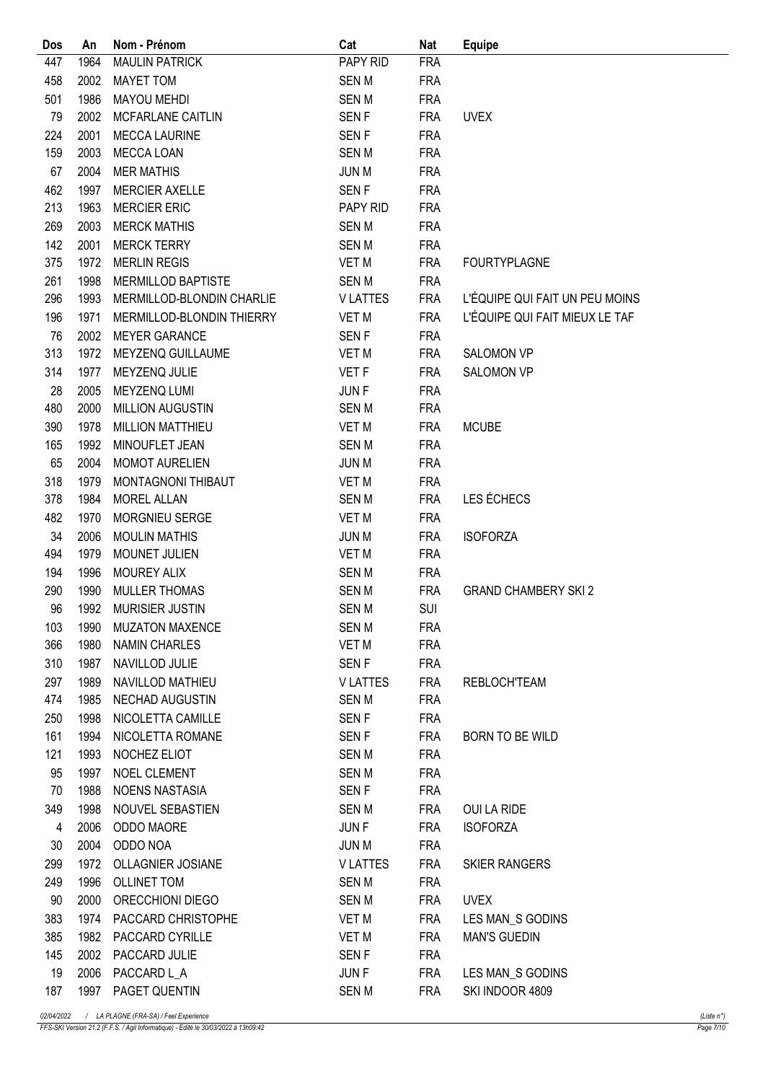| Dos            | An   | Nom - Prénom              | Cat              | <b>Nat</b> | <b>Equipe</b>                  |
|----------------|------|---------------------------|------------------|------------|--------------------------------|
| 447            | 1964 | <b>MAULIN PATRICK</b>     | PAPY RID         | <b>FRA</b> |                                |
| 458            | 2002 | <b>MAYET TOM</b>          | <b>SENM</b>      | <b>FRA</b> |                                |
| 501            | 1986 | <b>MAYOU MEHDI</b>        | <b>SENM</b>      | <b>FRA</b> |                                |
| 79             | 2002 | MCFARLANE CAITLIN         | <b>SENF</b>      | <b>FRA</b> | <b>UVEX</b>                    |
| 224            | 2001 | <b>MECCA LAURINE</b>      | SEN <sub>F</sub> | <b>FRA</b> |                                |
| 159            | 2003 | MECCA LOAN                | <b>SENM</b>      | <b>FRA</b> |                                |
| 67             | 2004 | <b>MER MATHIS</b>         | <b>JUN M</b>     | <b>FRA</b> |                                |
| 462            | 1997 | <b>MERCIER AXELLE</b>     | SEN <sub>F</sub> | <b>FRA</b> |                                |
| 213            | 1963 | <b>MERCIER ERIC</b>       | PAPY RID         | <b>FRA</b> |                                |
| 269            | 2003 | <b>MERCK MATHIS</b>       | <b>SENM</b>      | <b>FRA</b> |                                |
| 142            | 2001 | <b>MERCK TERRY</b>        | <b>SENM</b>      | <b>FRA</b> |                                |
| 375            | 1972 | <b>MERLIN REGIS</b>       | VET M            | <b>FRA</b> | <b>FOURTYPLAGNE</b>            |
| 261            | 1998 | MERMILLOD BAPTISTE        | <b>SENM</b>      | <b>FRA</b> |                                |
| 296            | 1993 | MERMILLOD-BLONDIN CHARLIE | <b>VLATTES</b>   | <b>FRA</b> | L'ÉQUIPE QUI FAIT UN PEU MOINS |
| 196            | 1971 | MERMILLOD-BLONDIN THIERRY | <b>VET M</b>     | <b>FRA</b> | L'ÉQUIPE QUI FAIT MIEUX LE TAF |
| 76             | 2002 | <b>MEYER GARANCE</b>      | <b>SENF</b>      | <b>FRA</b> |                                |
| 313            | 1972 | MEYZENQ GUILLAUME         | VET M            | <b>FRA</b> | <b>SALOMON VP</b>              |
| 314            | 1977 | MEYZENQ JULIE             | <b>VET F</b>     | <b>FRA</b> | <b>SALOMON VP</b>              |
| 28             | 2005 | MEYZENQ LUMI              | <b>JUNF</b>      | <b>FRA</b> |                                |
| 480            | 2000 | MILLION AUGUSTIN          | <b>SENM</b>      | <b>FRA</b> |                                |
| 390            | 1978 | MILLION MATTHIEU          | VET M            | <b>FRA</b> | <b>MCUBE</b>                   |
| 165            | 1992 | MINOUFLET JEAN            | <b>SENM</b>      | <b>FRA</b> |                                |
| 65             | 2004 | MOMOT AURELIEN            | <b>JUN M</b>     | <b>FRA</b> |                                |
| 318            | 1979 | MONTAGNONI THIBAUT        | VET M            | <b>FRA</b> |                                |
| 378            | 1984 | <b>MOREL ALLAN</b>        | <b>SENM</b>      | <b>FRA</b> | LES ÉCHECS                     |
| 482            | 1970 | MORGNIEU SERGE            | <b>VET M</b>     | <b>FRA</b> |                                |
| 34             | 2006 | <b>MOULIN MATHIS</b>      | <b>JUN M</b>     | <b>FRA</b> | <b>ISOFORZA</b>                |
| 494            | 1979 | MOUNET JULIEN             | VET M            | <b>FRA</b> |                                |
| 194            | 1996 | MOUREY ALIX               | <b>SENM</b>      | <b>FRA</b> |                                |
| 290            | 1990 | <b>MULLER THOMAS</b>      | <b>SENM</b>      | <b>FRA</b> | <b>GRAND CHAMBERY SKI 2</b>    |
| 96             | 1992 | <b>MURISIER JUSTIN</b>    | <b>SENM</b>      | SUI        |                                |
| 103            |      | 1990 MUZATON MAXENCE      | SEN M            | <b>FRA</b> |                                |
| 366            | 1980 | NAMIN CHARLES             | VET M            | <b>FRA</b> |                                |
| 310            | 1987 | NAVILLOD JULIE            | SEN F            | <b>FRA</b> |                                |
| 297            | 1989 | NAVILLOD MATHIEU          | <b>VLATTES</b>   | <b>FRA</b> | <b>REBLOCH'TEAM</b>            |
| 474            | 1985 | NECHAD AUGUSTIN           | <b>SENM</b>      | <b>FRA</b> |                                |
| 250            | 1998 | NICOLETTA CAMILLE         | SEN <sub>F</sub> | <b>FRA</b> |                                |
| 161            | 1994 | NICOLETTA ROMANE          | SEN F            | FRA        | BORN TO BE WILD                |
| 121            | 1993 | NOCHEZ ELIOT              | SEN M            | <b>FRA</b> |                                |
| 95             | 1997 | NOEL CLEMENT              | SEN M            | <b>FRA</b> |                                |
| 70             | 1988 | NOENS NASTASIA            | SEN F            | <b>FRA</b> |                                |
| 349            | 1998 | NOUVEL SEBASTIEN          | SEN M            | FRA        | OUI LA RIDE                    |
| $\overline{4}$ | 2006 | ODDO MAORE                | JUN F            | FRA        | <b>ISOFORZA</b>                |
| 30             | 2004 | ODDO NOA                  | JUN M            | <b>FRA</b> |                                |
| 299            | 1972 | OLLAGNIER JOSIANE         | <b>VLATTES</b>   | FRA        | <b>SKIER RANGERS</b>           |
| 249            |      | 1996 OLLINET TOM          | SEN M            | <b>FRA</b> |                                |
| 90             | 2000 | ORECCHIONI DIEGO          | SEN M            | FRA        | <b>UVEX</b>                    |
| 383            |      | 1974 PACCARD CHRISTOPHE   | VET M            | <b>FRA</b> | LES MAN_S GODINS               |
| 385            |      | 1982 PACCARD CYRILLE      | VET M            | FRA        | <b>MAN'S GUEDIN</b>            |
| 145            | 2002 | PACCARD JULIE             | SEN <sub>F</sub> | <b>FRA</b> |                                |
| 19             | 2006 | PACCARD L_A               | JUN F            | FRA        | LES MAN_S GODINS               |
| 187            |      | 1997 PAGET QUENTIN        | SEN M            | <b>FRA</b> | SKI INDOOR 4809                |
|                |      |                           |                  |            |                                |

FFS-SKI Version 21.2 (F.F.S. / Agil Informatique) - Edité le 30/03/2022 à 13h09:42 Page 7/10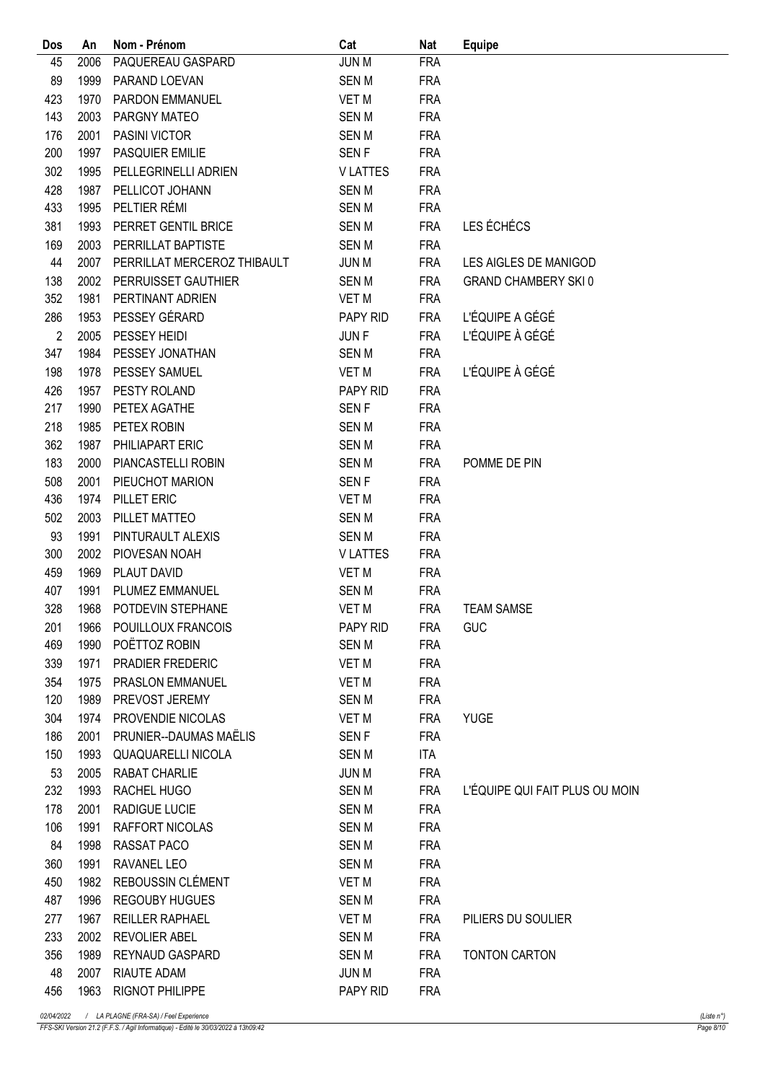| Dos            | An   | Nom - Prénom                | Cat                   | <b>Nat</b> | <b>Equipe</b>                  |
|----------------|------|-----------------------------|-----------------------|------------|--------------------------------|
| 45             | 2006 | PAQUEREAU GASPARD           | <b>JUN M</b>          | <b>FRA</b> |                                |
| 89             | 1999 | PARAND LOEVAN               | <b>SENM</b>           | <b>FRA</b> |                                |
| 423            | 1970 | PARDON EMMANUEL             | <b>VET M</b>          | <b>FRA</b> |                                |
| 143            | 2003 | PARGNY MATEO                | <b>SENM</b>           | <b>FRA</b> |                                |
| 176            | 2001 | PASINI VICTOR               | <b>SENM</b>           | <b>FRA</b> |                                |
| 200            | 1997 | <b>PASQUIER EMILIE</b>      | <b>SENF</b>           | <b>FRA</b> |                                |
| 302            | 1995 | PELLEGRINELLI ADRIEN        | <b>VLATTES</b>        | <b>FRA</b> |                                |
| 428            | 1987 | PELLICOT JOHANN             | <b>SENM</b>           | <b>FRA</b> |                                |
| 433            | 1995 | PELTIER RÉMI                | <b>SENM</b>           | <b>FRA</b> |                                |
| 381            | 1993 | PERRET GENTIL BRICE         | <b>SENM</b>           | <b>FRA</b> | LES ÉCHÉCS                     |
| 169            | 2003 | PERRILLAT BAPTISTE          | <b>SENM</b>           | <b>FRA</b> |                                |
| 44             | 2007 | PERRILLAT MERCEROZ THIBAULT | <b>JUN M</b>          | <b>FRA</b> | LES AIGLES DE MANIGOD          |
| 138            | 2002 | PERRUISSET GAUTHIER         | <b>SENM</b>           | <b>FRA</b> | <b>GRAND CHAMBERY SKI0</b>     |
| 352            | 1981 | PERTINANT ADRIEN            | VET M                 | <b>FRA</b> |                                |
| 286            | 1953 | PESSEY GÉRARD               | PAPY RID              | <b>FRA</b> | L'ÉQUIPE A GÉGÉ                |
| $\overline{2}$ | 2005 | PESSEY HEIDI                | <b>JUNF</b>           | <b>FRA</b> | L'ÉQUIPE À GÉGÉ                |
| 347            | 1984 | PESSEY JONATHAN             | <b>SENM</b>           | <b>FRA</b> |                                |
| 198            | 1978 | PESSEY SAMUEL               | <b>VET M</b>          | <b>FRA</b> | L'ÉQUIPE À GÉGÉ                |
| 426            | 1957 | PESTY ROLAND                | PAPY RID              | <b>FRA</b> |                                |
| 217            | 1990 | PETEX AGATHE                | <b>SENF</b>           | <b>FRA</b> |                                |
| 218            | 1985 | PETEX ROBIN                 | <b>SENM</b>           | <b>FRA</b> |                                |
| 362            | 1987 | PHILIAPART ERIC             | <b>SENM</b>           | <b>FRA</b> |                                |
| 183            | 2000 | PIANCASTELLI ROBIN          | <b>SENM</b>           | <b>FRA</b> | POMME DE PIN                   |
| 508            | 2001 | PIEUCHOT MARION             | <b>SENF</b>           | <b>FRA</b> |                                |
| 436            | 1974 | PILLET ERIC                 | VET M                 | <b>FRA</b> |                                |
| 502            | 2003 | PILLET MATTEO               | <b>SENM</b>           | <b>FRA</b> |                                |
| 93             | 1991 | PINTURAULT ALEXIS           | <b>SENM</b>           | <b>FRA</b> |                                |
| 300            | 2002 | PIOVESAN NOAH               | <b>VLATTES</b>        | <b>FRA</b> |                                |
| 459            | 1969 | PLAUT DAVID                 | <b>VET M</b>          | <b>FRA</b> |                                |
| 407            | 1991 | PLUMEZ EMMANUEL             | <b>SENM</b>           | <b>FRA</b> |                                |
| 328            | 1968 | POTDEVIN STEPHANE           | VET M                 | <b>FRA</b> | <b>TEAM SAMSE</b>              |
| 201            |      | 1966 POUILLOUX FRANCOIS     | PAPY RID              | <b>FRA</b> | <b>GUC</b>                     |
| 469            | 1990 | POËTTOZ ROBIN               | SEN M                 | <b>FRA</b> |                                |
| 339            | 1971 | PRADIER FREDERIC            | VET M                 | <b>FRA</b> |                                |
| 354            | 1975 | PRASLON EMMANUEL            | VET M                 | <b>FRA</b> |                                |
| 120            | 1989 | PREVOST JEREMY              | <b>SENM</b>           | <b>FRA</b> |                                |
| 304            | 1974 | PROVENDIE NICOLAS           | VET M                 | <b>FRA</b> | <b>YUGE</b>                    |
| 186            | 2001 | PRUNIER--DAUMAS MAËLIS      | SEN F                 | <b>FRA</b> |                                |
| 150            | 1993 | QUAQUARELLI NICOLA          | <b>SENM</b>           | ITA        |                                |
| 53             | 2005 | RABAT CHARLIE               | <b>JUN M</b>          | <b>FRA</b> |                                |
| 232            | 1993 | RACHEL HUGO                 | SEN M                 | <b>FRA</b> | L'ÉQUIPE QUI FAIT PLUS OU MOIN |
| 178            | 2001 | <b>RADIGUE LUCIE</b>        | <b>SENM</b>           | <b>FRA</b> |                                |
| 106            | 1991 | RAFFORT NICOLAS             | <b>SENM</b>           | <b>FRA</b> |                                |
| 84             | 1998 | RASSAT PACO                 | SEN M                 | <b>FRA</b> |                                |
| 360            | 1991 | RAVANEL LEO                 | SEN M                 | <b>FRA</b> |                                |
| 450            | 1982 | REBOUSSIN CLÉMENT           | VET M                 | <b>FRA</b> |                                |
| 487            | 1996 | <b>REGOUBY HUGUES</b>       | <b>SENM</b>           | <b>FRA</b> |                                |
| 277            | 1967 | <b>REILLER RAPHAEL</b>      |                       | <b>FRA</b> | PILIERS DU SOULIER             |
| 233            | 2002 | <b>REVOLIER ABEL</b>        | VET M<br><b>SEN M</b> | <b>FRA</b> |                                |
| 356            | 1989 | <b>REYNAUD GASPARD</b>      | SEN M                 | <b>FRA</b> | <b>TONTON CARTON</b>           |
| 48             | 2007 | <b>RIAUTE ADAM</b>          | JUN M                 | <b>FRA</b> |                                |
|                |      |                             |                       |            |                                |
| 456            |      | 1963 RIGNOT PHILIPPE        | PAPY RID              | <b>FRA</b> |                                |

FFS-SKI Version 21.2 (F.F.S. / Agil Informatique) - Edité le 30/03/2022 à 13h09:42 Page 8/10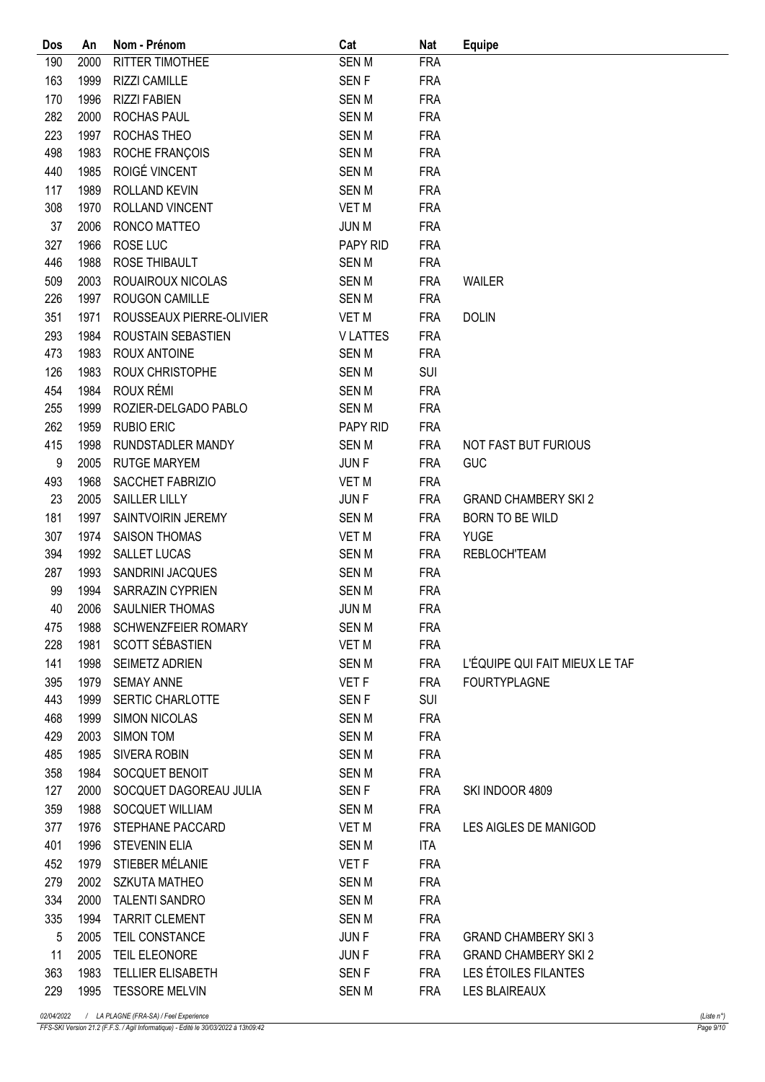| Dos | An   | Nom - Prénom              | Cat              | <b>Nat</b>               | <b>Equipe</b>                  |
|-----|------|---------------------------|------------------|--------------------------|--------------------------------|
| 190 | 2000 | RITTER TIMOTHEE           | <b>SENM</b>      | <b>FRA</b>               |                                |
| 163 | 1999 | <b>RIZZI CAMILLE</b>      | <b>SENF</b>      | <b>FRA</b>               |                                |
| 170 | 1996 | <b>RIZZI FABIEN</b>       | <b>SENM</b>      | <b>FRA</b>               |                                |
| 282 | 2000 | ROCHAS PAUL               | <b>SENM</b>      | <b>FRA</b>               |                                |
| 223 | 1997 | ROCHAS THEO               | <b>SENM</b>      | <b>FRA</b>               |                                |
| 498 | 1983 | ROCHE FRANÇOIS            | <b>SENM</b>      | <b>FRA</b>               |                                |
| 440 | 1985 | ROIGÉ VINCENT             | <b>SENM</b>      | <b>FRA</b>               |                                |
| 117 | 1989 | ROLLAND KEVIN             | <b>SENM</b>      | <b>FRA</b>               |                                |
| 308 | 1970 | ROLLAND VINCENT           | <b>VET M</b>     | <b>FRA</b>               |                                |
| 37  | 2006 | RONCO MATTEO              | <b>JUN M</b>     | <b>FRA</b>               |                                |
| 327 | 1966 | ROSE LUC                  | PAPY RID         | <b>FRA</b>               |                                |
| 446 | 1988 | ROSE THIBAULT             | <b>SENM</b>      | <b>FRA</b>               |                                |
| 509 | 2003 | ROUAIROUX NICOLAS         | <b>SENM</b>      | <b>FRA</b>               | WAILER                         |
| 226 | 1997 | ROUGON CAMILLE            | <b>SENM</b>      | <b>FRA</b>               |                                |
| 351 | 1971 | ROUSSEAUX PIERRE-OLIVIER  | <b>VET M</b>     | <b>FRA</b>               | <b>DOLIN</b>                   |
| 293 | 1984 | <b>ROUSTAIN SEBASTIEN</b> | <b>VLATTES</b>   | <b>FRA</b>               |                                |
| 473 | 1983 | <b>ROUX ANTOINE</b>       | <b>SENM</b>      | <b>FRA</b>               |                                |
| 126 | 1983 | ROUX CHRISTOPHE           | <b>SENM</b>      | SUI                      |                                |
| 454 | 1984 | ROUX RÉMI                 | <b>SENM</b>      | <b>FRA</b>               |                                |
| 255 | 1999 | ROZIER-DELGADO PABLO      | <b>SENM</b>      | <b>FRA</b>               |                                |
| 262 | 1959 | <b>RUBIO ERIC</b>         | PAPY RID         | <b>FRA</b>               |                                |
| 415 | 1998 | RUNDSTADLER MANDY         | <b>SENM</b>      | <b>FRA</b>               | NOT FAST BUT FURIOUS           |
| 9   | 2005 | <b>RUTGE MARYEM</b>       | JUN F            | <b>FRA</b>               | GUC                            |
| 493 | 1968 | SACCHET FABRIZIO          | <b>VET M</b>     | <b>FRA</b>               |                                |
| 23  | 2005 | SAILLER LILLY             | <b>JUNF</b>      | <b>FRA</b>               | <b>GRAND CHAMBERY SKI 2</b>    |
| 181 | 1997 | SAINTVOIRIN JEREMY        | <b>SENM</b>      | <b>FRA</b>               | <b>BORN TO BE WILD</b>         |
| 307 | 1974 | <b>SAISON THOMAS</b>      | <b>VET M</b>     | <b>FRA</b>               | <b>YUGE</b>                    |
| 394 | 1992 | SALLET LUCAS              | <b>SENM</b>      | <b>FRA</b>               | <b>REBLOCH'TEAM</b>            |
| 287 | 1993 | SANDRINI JACQUES          | <b>SENM</b>      | <b>FRA</b>               |                                |
| 99  | 1994 | SARRAZIN CYPRIEN          | <b>SENM</b>      | <b>FRA</b>               |                                |
| 40  | 2006 | SAULNIER THOMAS           | <b>JUN M</b>     | <b>FRA</b>               |                                |
| 475 |      | 1988 SCHWENZFEIER ROMARY  | SEN M            | <b>FRA</b>               |                                |
| 228 | 1981 | SCOTT SÉBASTIEN           | VET M            | <b>FRA</b>               |                                |
| 141 | 1998 | SEIMETZ ADRIEN            | SEN M            | <b>FRA</b>               | L'ÉQUIPE QUI FAIT MIEUX LE TAF |
| 395 | 1979 | <b>SEMAY ANNE</b>         | VET F            | <b>FRA</b>               | <b>FOURTYPLAGNE</b>            |
| 443 | 1999 | SERTIC CHARLOTTE          | <b>SENF</b>      | <b>SUI</b>               |                                |
| 468 | 1999 | <b>SIMON NICOLAS</b>      | SEN M            | <b>FRA</b>               |                                |
| 429 | 2003 | <b>SIMON TOM</b>          | <b>SENM</b>      | <b>FRA</b>               |                                |
| 485 | 1985 | SIVERA ROBIN              | <b>SENM</b>      | <b>FRA</b>               |                                |
| 358 | 1984 | SOCQUET BENOIT            | <b>SENM</b>      | <b>FRA</b>               |                                |
| 127 | 2000 | SOCQUET DAGOREAU JULIA    | SEN <sub>F</sub> | <b>FRA</b>               | SKI INDOOR 4809                |
| 359 | 1988 | <b>SOCQUET WILLIAM</b>    | <b>SENM</b>      | <b>FRA</b>               |                                |
| 377 | 1976 | STEPHANE PACCARD          | VET M            | <b>FRA</b>               | LES AIGLES DE MANIGOD          |
| 401 | 1996 | <b>STEVENIN ELIA</b>      | <b>SENM</b>      | <b>ITA</b>               |                                |
| 452 | 1979 | STIEBER MÉLANIE           | VET F            |                          |                                |
| 279 | 2002 | <b>SZKUTA MATHEO</b>      | <b>SENM</b>      | <b>FRA</b><br><b>FRA</b> |                                |
|     |      |                           |                  |                          |                                |
| 334 | 2000 | <b>TALENTI SANDRO</b>     | <b>SENM</b>      | <b>FRA</b>               |                                |
| 335 | 1994 | <b>TARRIT CLEMENT</b>     | <b>SENM</b>      | <b>FRA</b>               |                                |
| 5   | 2005 | TEIL CONSTANCE            | JUN F            | <b>FRA</b>               | <b>GRAND CHAMBERY SKI 3</b>    |
| 11  | 2005 | TEIL ELEONORE             | JUN F            | <b>FRA</b>               | <b>GRAND CHAMBERY SKI 2</b>    |
| 363 | 1983 | <b>TELLIER ELISABETH</b>  | <b>SENF</b>      | <b>FRA</b>               | LES ÉTOILES FILANTES           |
| 229 | 1995 | <b>TESSORE MELVIN</b>     | <b>SENM</b>      | <b>FRA</b>               | LES BLAIREAUX                  |

FFS-SKI Version 21.2 (F.F.S. / Agil Informatique) - Edité le 30/03/2022 à 13h09:42 Page 9/10